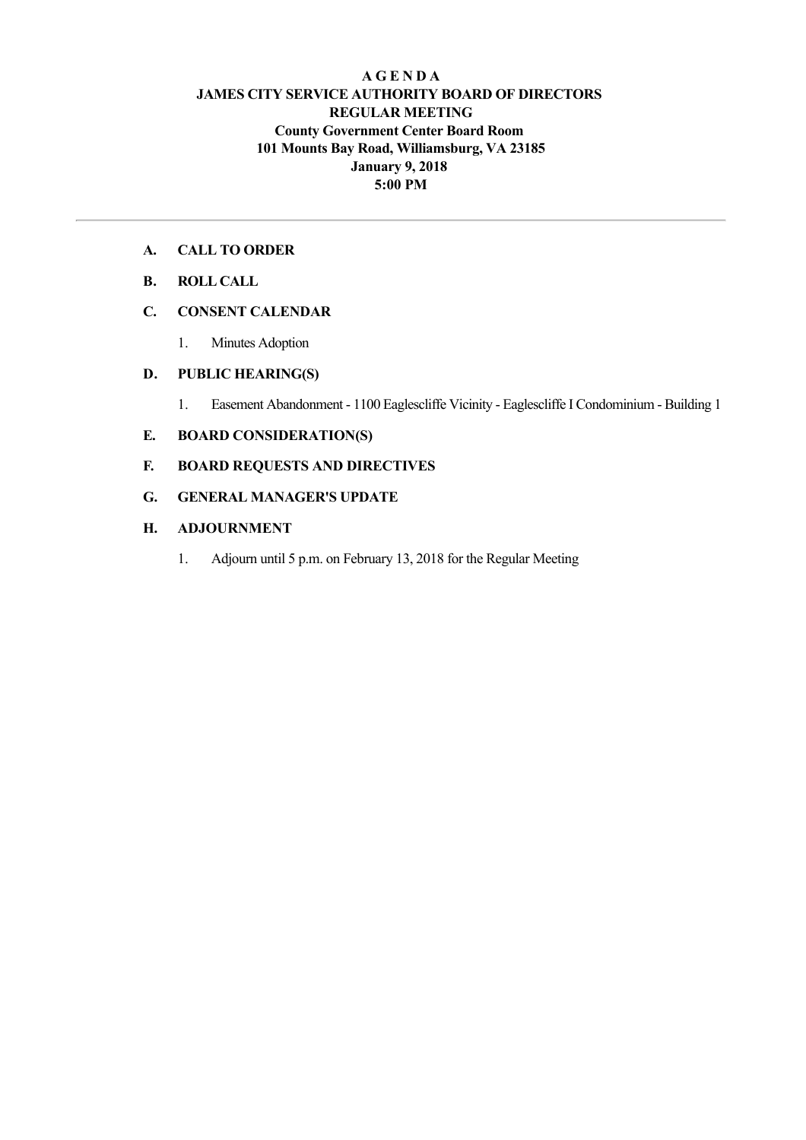#### **A G E N D A JAMES CITY SERVICE AUTHORITY BOARD OF DIRECTORS REGULAR MEETING County Government Center Board Room 101 Mounts Bay Road, Williamsburg, VA 23185 January 9, 2018 5:00 PM**

#### **A. CALL TO ORDER**

#### **B. ROLL CALL**

# **C. CONSENT CALENDAR**

1. Minutes Adoption

#### **D. PUBLIC HEARING(S)**

1. Easement Abandonment - 1100 Eaglescliffe Vicinity - Eaglescliffe I Condominium - Building 1

## **E. BOARD CONSIDERATION(S)**

## **F. BOARD REQUESTS AND DIRECTIVES**

## **G. GENERAL MANAGER'S UPDATE**

## **H. ADJOURNMENT**

1. Adjourn until 5 p.m. on February 13, 2018 for the Regular Meeting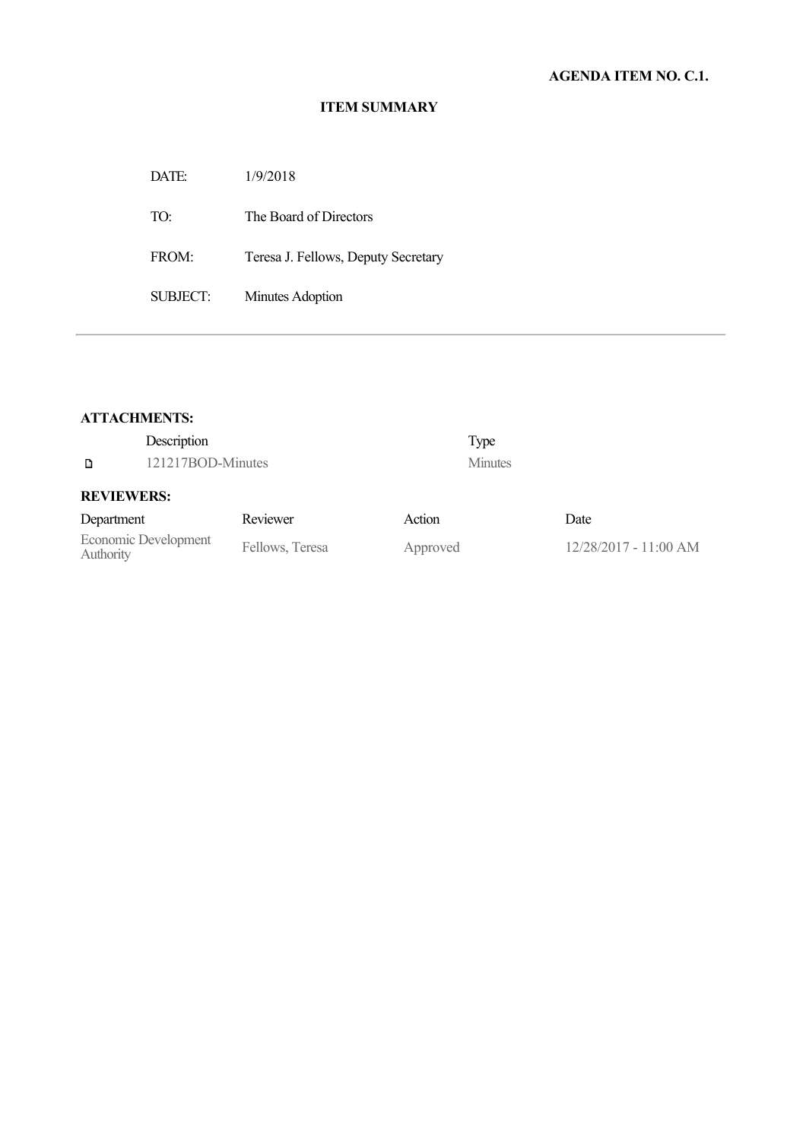## **ITEM SUMMARY**

| 1/9/2018                            |
|-------------------------------------|
| The Board of Directors              |
| Teresa J. Fellows, Deputy Secretary |
| Minutes Adoption                    |
|                                     |

## **ATTACHMENTS:**

|               | Description       |                                                 |                 | Type           |
|---------------|-------------------|-------------------------------------------------|-----------------|----------------|
| D             | 121217BOD-Minutes |                                                 |                 | <b>Minutes</b> |
|               | <b>REVIEWERS:</b> |                                                 |                 |                |
| $D$ onortmant |                   | $D_{\alpha\alpha\beta\gamma\gamma\alpha\gamma}$ | $\Lambda$ otion |                |

# Department Reviewer Action Date Economic Development<br>
Authority Fellows, Teresa Approved 12/28/2017 - 11:00 AM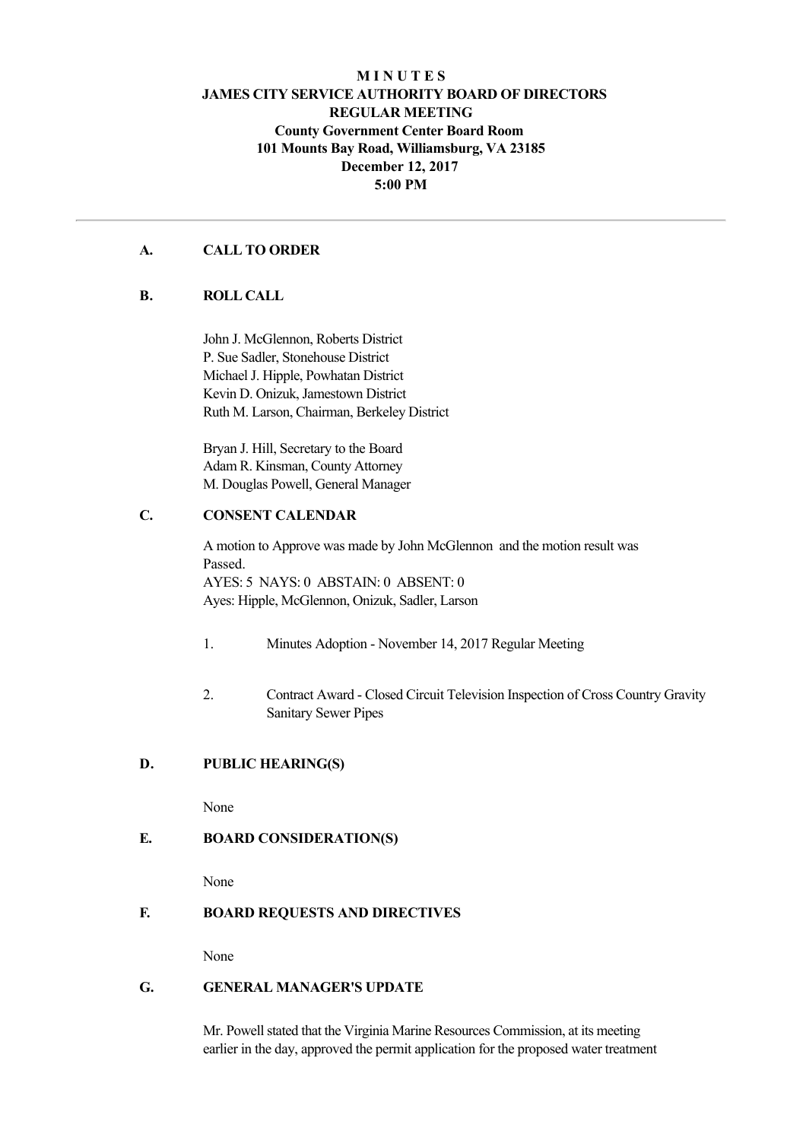## **M I N U T E S JAMES CITY SERVICE AUTHORITY BOARD OF DIRECTORS REGULAR MEETING County Government Center Board Room 101 Mounts Bay Road, Williamsburg, VA 23185 December 12, 2017 5:00 PM**

#### **A. CALL TO ORDER**

#### **B. ROLL CALL**

John J. McGlennon, Roberts District P. Sue Sadler, Stonehouse District Michael J. Hipple, Powhatan District Kevin D. Onizuk, Jamestown District Ruth M. Larson, Chairman, Berkeley District

Bryan J. Hill, Secretary to the Board Adam R. Kinsman, County Attorney M. Douglas Powell, General Manager

### **C. CONSENT CALENDAR**

A motion to Approve was made by John McGlennon and the motion result was Passed. AYES: 5 NAYS: 0 ABSTAIN: 0 ABSENT: 0 Ayes: Hipple, McGlennon, Onizuk, Sadler, Larson

- 1. Minutes Adoption November 14, 2017 Regular Meeting
- 2. Contract Award Closed Circuit Television Inspection of Cross Country Gravity Sanitary Sewer Pipes

#### **D. PUBLIC HEARING(S)**

None

#### **E. BOARD CONSIDERATION(S)**

None

#### **F. BOARD REQUESTS AND DIRECTIVES**

None

#### **G. GENERAL MANAGER'S UPDATE**

Mr. Powell stated that the Virginia Marine Resources Commission, at its meeting earlier in the day, approved the permit application for the proposed water treatment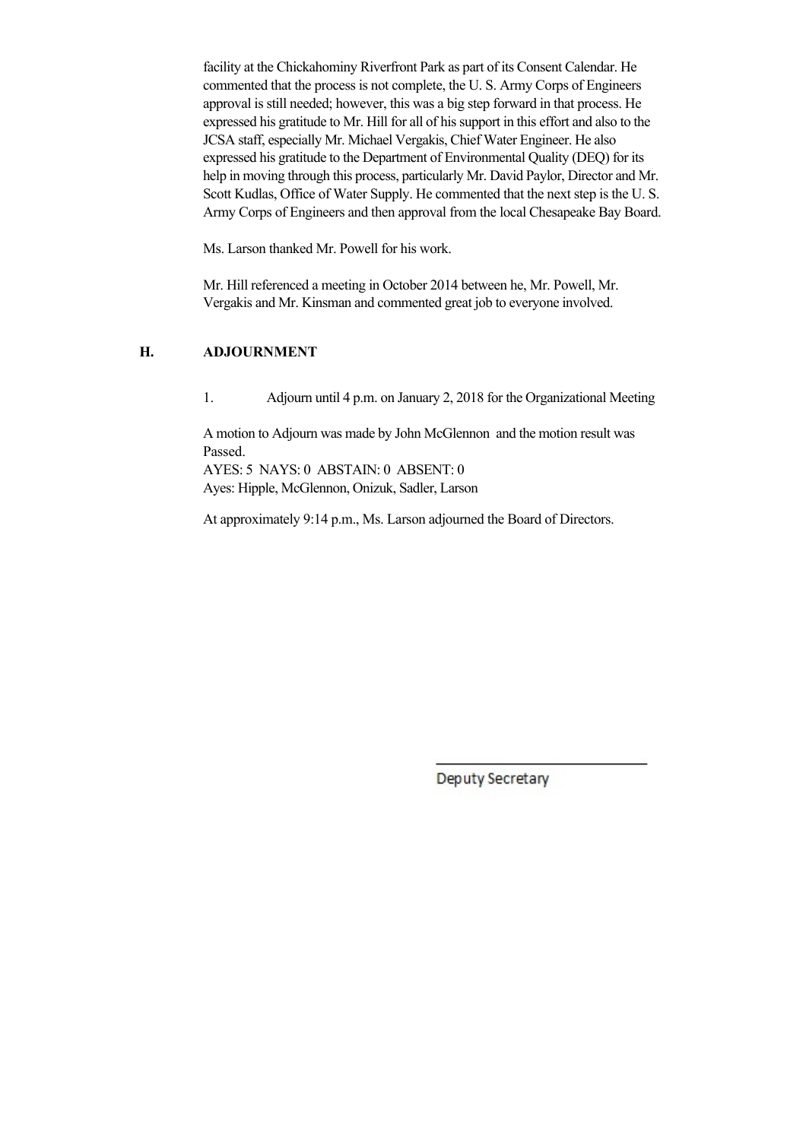facility at the Chickahominy Riverfront Park as part of its Consent Calendar. He commented that the process is not complete, the U. S. Army Corps of Engineers approval is still needed; however, this was a big step forward in that process. He expressed his gratitude to Mr. Hill for all of his support in this effort and also to the JCSA staff, especially Mr. Michael Vergakis, Chief Water Engineer. He also expressed his gratitude to the Department of Environmental Quality (DEQ) for its help in moving through this process, particularly Mr. David Paylor, Director and Mr. Scott Kudlas, Office of Water Supply. He commented that the next step is the U. S. Army Corps of Engineers and then approval from the local Chesapeake Bay Board.

Ms. Larson thanked Mr. Powell for his work.

Mr. Hill referenced a meeting in October 2014 between he, Mr. Powell, Mr. Vergakis and Mr. Kinsman and commented great job to everyone involved.

## **H. ADJOURNMENT**

1. Adjourn until 4 p.m. on January 2, 2018 for the Organizational Meeting

A motion to Adjourn was made by John McGlennon and the motion result was Passed. AYES: 5 NAYS: 0 ABSTAIN: 0 ABSENT: 0

Ayes: Hipple, McGlennon, Onizuk, Sadler, Larson

At approximately 9:14 p.m., Ms. Larson adjourned the Board of Directors.

Deputy Secretary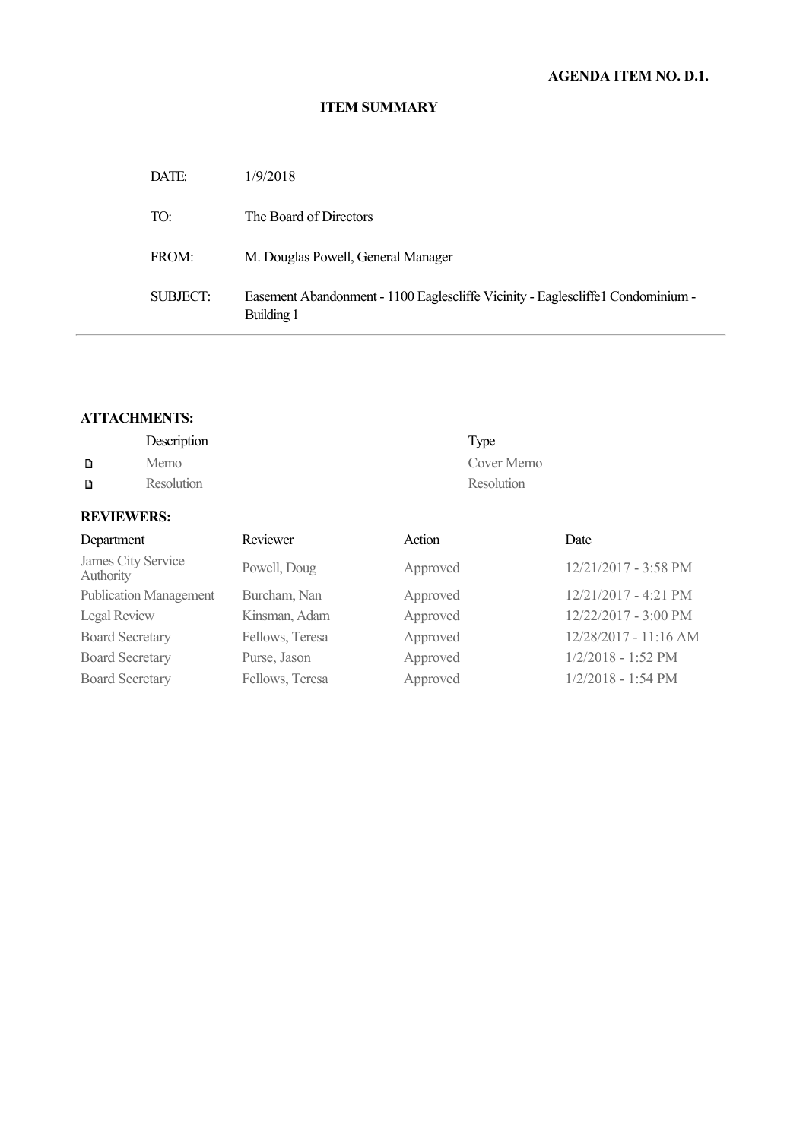## **ITEM SUMMARY**

| DATE:    | 1/9/2018                                                                                       |
|----------|------------------------------------------------------------------------------------------------|
| TO:      | The Board of Directors                                                                         |
| FROM:    | M. Douglas Powell, General Manager                                                             |
| SUBJECT: | Easement Abandonment - 1100 Eaglescliffe Vicinity - Eaglescliffe 1 Condominium -<br>Building 1 |

#### **ATTACHMENTS:**

|                                 | Description |              |          | Type       |                      |
|---------------------------------|-------------|--------------|----------|------------|----------------------|
| D                               | Memo        |              |          | Cover Memo |                      |
| D                               | Resolution  | Resolution   |          |            |                      |
| <b>REVIEWERS:</b>               |             |              |          |            |                      |
| Department                      |             | Reviewer     | Action   |            | Date                 |
| James City Service<br>Authority |             | Powell, Doug | Approved |            | 12/21/2017 - 3:58 PM |

| Authority                     |                 |          |                       |
|-------------------------------|-----------------|----------|-----------------------|
| <b>Publication Management</b> | Burcham, Nan    | Approved | 12/21/2017 - 4:21 PM  |
| Legal Review                  | Kinsman, Adam   | Approved | 12/22/2017 - 3:00 PM  |
| <b>Board Secretary</b>        | Fellows, Teresa | Approved | 12/28/2017 - 11:16 AM |
| <b>Board Secretary</b>        | Purse, Jason    | Approved | $1/2/2018 - 1:52$ PM  |
| <b>Board Secretary</b>        | Fellows, Teresa | Approved | $1/2/2018 - 1:54$ PM  |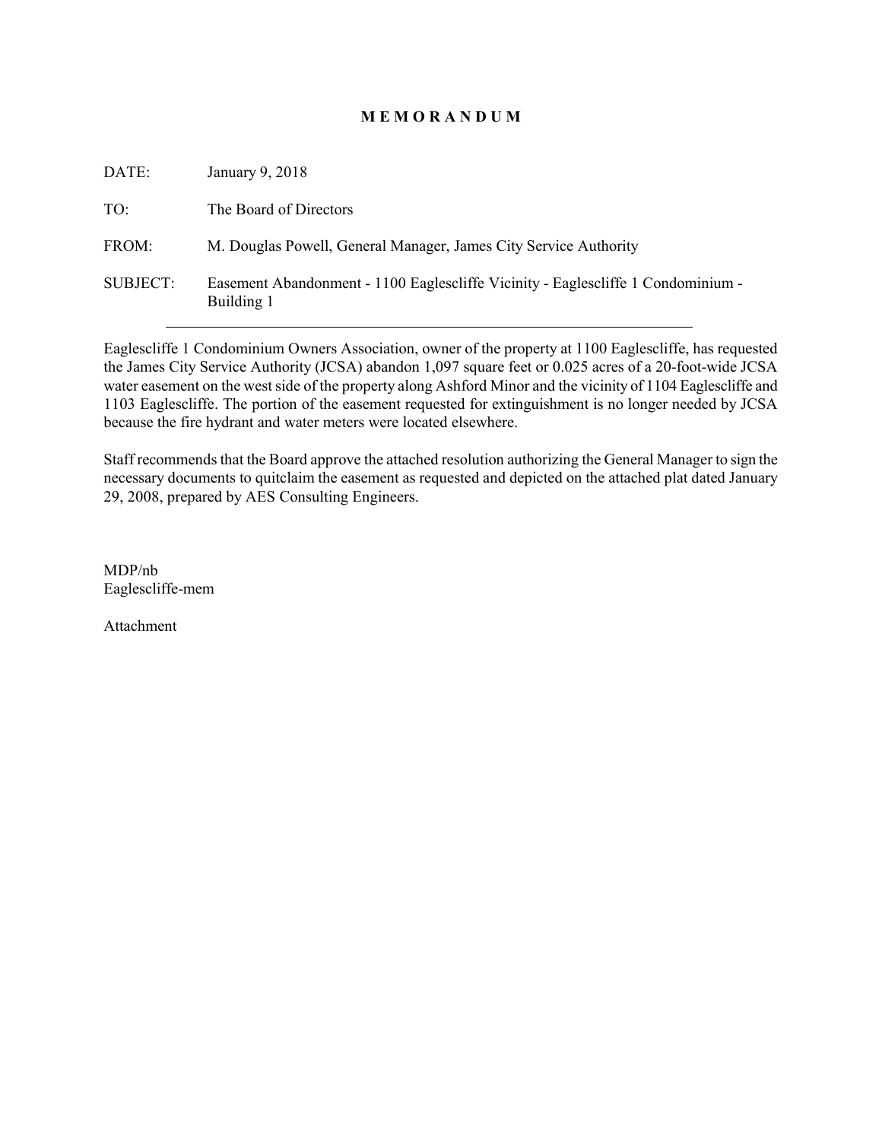#### **M E M O R A N D U M**

| DATE:           | January 9, 2018                                                                                |
|-----------------|------------------------------------------------------------------------------------------------|
| TO:             | The Board of Directors                                                                         |
| FROM:           | M. Douglas Powell, General Manager, James City Service Authority                               |
| <b>SUBJECT:</b> | Easement Abandonment - 1100 Eaglescliffe Vicinity - Eaglescliffe 1 Condominium -<br>Building 1 |

Eaglescliffe 1 Condominium Owners Association, owner of the property at 1100 Eaglescliffe, has requested the James City Service Authority (JCSA) abandon 1,097 square feet or 0.025 acres of a 20-foot-wide JCSA water easement on the west side of the property along Ashford Minor and the vicinity of 1104 Eaglescliffe and 1103 Eaglescliffe. The portion of the easement requested for extinguishment is no longer needed by JCSA because the fire hydrant and water meters were located elsewhere.

Staff recommends that the Board approve the attached resolution authorizing the General Manager to sign the necessary documents to quitclaim the easement as requested and depicted on the attached plat dated January 29, 2008, prepared by AES Consulting Engineers.

MDP/nb Eaglescliffe-mem

Attachment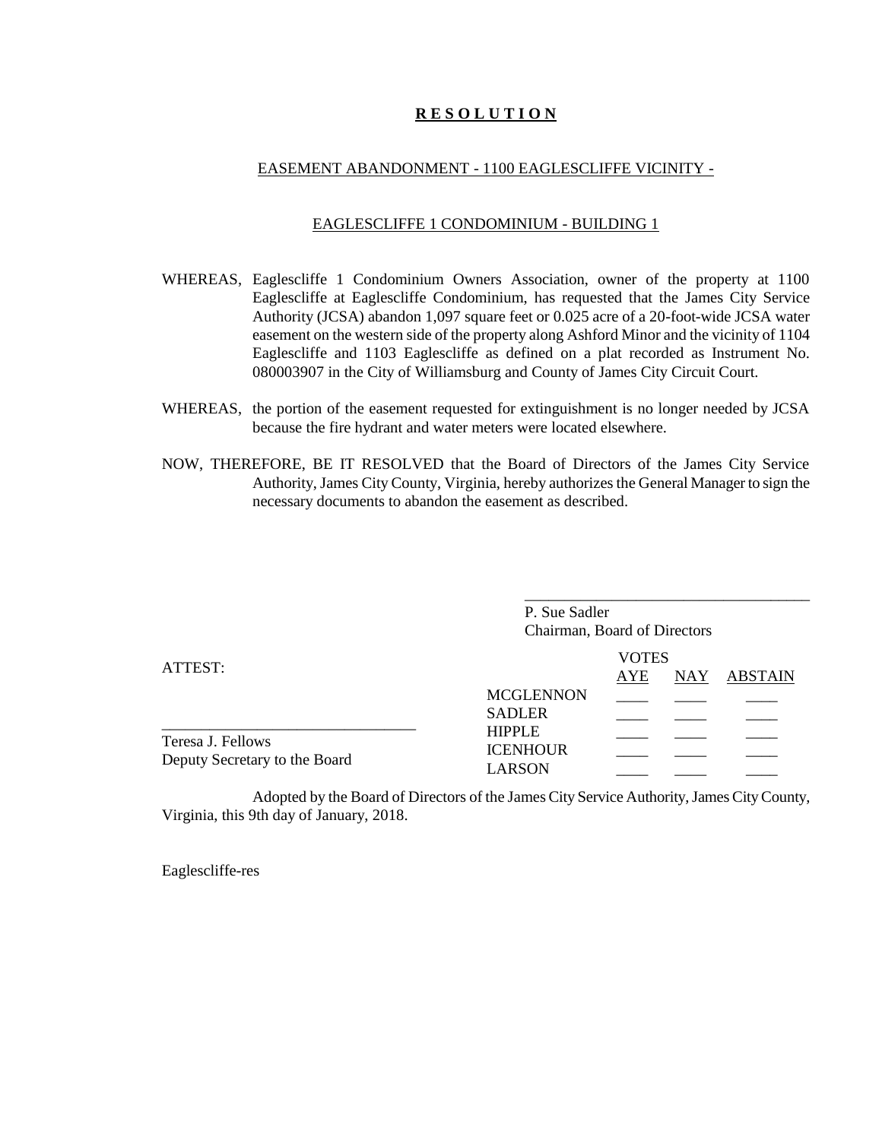#### **R E S O L U T I O N**

#### EASEMENT ABANDONMENT - 1100 EAGLESCLIFFE VICINITY -

#### EAGLESCLIFFE 1 CONDOMINIUM - BUILDING 1

- WHEREAS, Eaglescliffe 1 Condominium Owners Association, owner of the property at 1100 Eaglescliffe at Eaglescliffe Condominium, has requested that the James City Service Authority (JCSA) abandon 1,097 square feet or 0.025 acre of a 20-foot-wide JCSA water easement on the western side of the property along Ashford Minor and the vicinity of 1104 Eaglescliffe and 1103 Eaglescliffe as defined on a plat recorded as Instrument No. 080003907 in the City of Williamsburg and County of James City Circuit Court.
- WHEREAS, the portion of the easement requested for extinguishment is no longer needed by JCSA because the fire hydrant and water meters were located elsewhere.
- NOW, THEREFORE, BE IT RESOLVED that the Board of Directors of the James City Service Authority, James City County, Virginia, hereby authorizes the General Manager to sign the necessary documents to abandon the easement as described.

|                               | P. Sue Sadler<br>Chairman, Board of Directors |              |                      |         |
|-------------------------------|-----------------------------------------------|--------------|----------------------|---------|
|                               |                                               | <b>VOTES</b> |                      |         |
| ATTEST:                       |                                               | <b>AYE</b>   | $\operatorname{NAY}$ | ABSTAIN |
|                               | <b>MCGLENNON</b>                              |              |                      |         |
|                               | <b>SADLER</b>                                 |              |                      |         |
| Teresa J. Fellows             | <b>HIPPLE</b>                                 |              |                      |         |
| Deputy Secretary to the Board | <b>ICENHOUR</b>                               |              |                      |         |
|                               | <b>LARSON</b>                                 |              |                      |         |

Adopted by the Board of Directors of the James City Service Authority, James CityCounty, Virginia, this 9th day of January, 2018.

Eaglescliffe-res